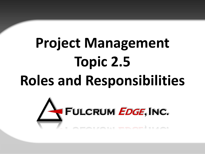# **Project Management Topic 2.5 Roles and Responsibilities**

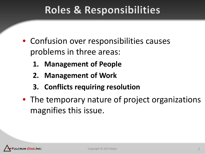#### **Roles & Responsibilities**

- Confusion over responsibilities causes problems in three areas:
	- **1. Management of People**
	- **2. Management of Work**
	- **3. Conflicts requiring resolution**
- The temporary nature of project organizations magnifies this issue.

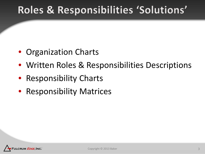### Roles & Responsibilities 'Solutions'

- Organization Charts
- Written Roles & Responsibilities Descriptions
- Responsibility Charts
- Responsibility Matrices

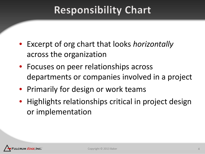### **Responsibility Chart**

- Excerpt of org chart that looks *horizontally*  across the organization
- Focuses on peer relationships across departments or companies involved in a project
- Primarily for design or work teams
- Highlights relationships critical in project design or implementation

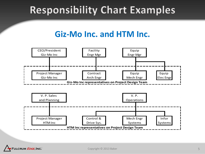### **Responsibility Chart Examples**

#### **Giz-Mo Inc. and HTM Inc.**

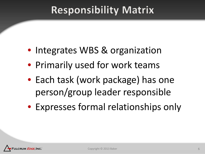### **Responsibility Matrix**

- Integrates WBS & organization
- Primarily used for work teams
- Each task (work package) has one person/group leader responsible
- Expresses formal relationships only

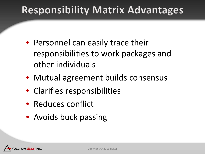### **Responsibility Matrix Advantages**

- Personnel can easily trace their responsibilities to work packages and other individuals
- Mutual agreement builds consensus
- Clarifies responsibilities
- Reduces conflict
- Avoids buck passing

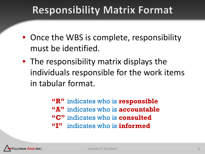#### **Responsibility Matrix Format**

- Once the WBS is complete, responsibility must be identified.
- The responsibility matrix displays the individuals responsible for the work items in tabular format.

**"R"** indicates who is **responsible "A"** indicates who is **accountable "C"** indicates who is **consulted "I"** indicates who is **informed**

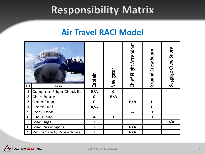#### **Responsibility Matrix**

#### **Air Travel RACI Model**

| ID             | <b>Task</b>                     | Captain      | Navigator    | <b>Chief Flight Attendant</b> | Ground Crew Suprv | Baggage Crew Suprv |
|----------------|---------------------------------|--------------|--------------|-------------------------------|-------------------|--------------------|
| $\mathbf{1}$   | Complete Flight Check list      | R/A          | $\mathsf{C}$ |                               |                   |                    |
| $\overline{2}$ | <b>Chart Route</b>              | $\mathsf{C}$ | R/A          |                               |                   |                    |
| 3              | Order Food                      | $\mathsf{C}$ |              | R/A                           |                   |                    |
| $\overline{4}$ | <b>Order Fuel</b>               | R/A          |              |                               |                   |                    |
| 5              | <b>Stock Food</b>               |              |              | A                             | R                 |                    |
| 6              | <b>Fuel Plane</b>               | A            |              |                               | R                 |                    |
| $\overline{7}$ | Load Bags                       |              |              |                               |                   | R/A                |
| 8              | Load Passengers                 |              |              | R/A                           |                   |                    |
| 9              | <b>Verify Safety Procedures</b> |              |              | R/A                           |                   |                    |

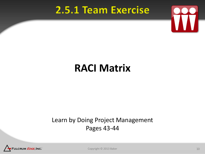#### 2.5.1 Team Exercise



#### **RACI Matrix**

#### Learn by Doing Project Management Pages 43-44



Copyright © 2013 Baker